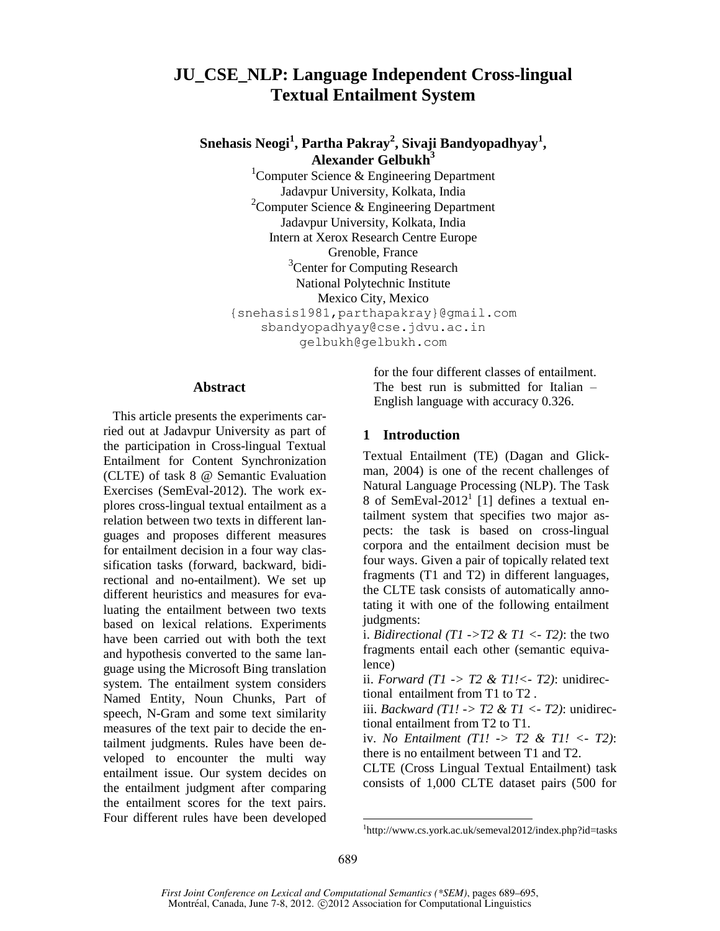# **JU\_CSE\_NLP: Language Independent Cross-lingual Textual Entailment System**

## **Snehasis Neogi<sup>1</sup> , Partha Pakray<sup>2</sup> , Sivaji Bandyopadhyay<sup>1</sup> , Alexander Gelbukh<sup>3</sup>**

<sup>1</sup>Computer Science & Engineering Department Jadavpur University, Kolkata, India <sup>2</sup>Computer Science & Engineering Department Jadavpur University, Kolkata, India Intern at Xerox Research Centre Europe Grenoble, France <sup>3</sup>Center for Computing Research National Polytechnic Institute Mexico City, Mexico {snehasis1981,parthapakray}@gmail.com sbandyopadhyay@cse.jdvu.ac.in gelbukh@gelbukh.com

#### **Abstract**

This article presents the experiments carried out at Jadavpur University as part of the participation in Cross-lingual Textual Entailment for Content Synchronization (CLTE) of task 8 @ Semantic Evaluation Exercises (SemEval-2012). The work explores cross-lingual textual entailment as a relation between two texts in different languages and proposes different measures for entailment decision in a four way classification tasks (forward, backward, bidirectional and no-entailment). We set up different heuristics and measures for evaluating the entailment between two texts based on lexical relations. Experiments have been carried out with both the text and hypothesis converted to the same language using the Microsoft Bing translation system. The entailment system considers Named Entity, Noun Chunks, Part of speech, N-Gram and some text similarity measures of the text pair to decide the entailment judgments. Rules have been developed to encounter the multi way entailment issue. Our system decides on the entailment judgment after comparing the entailment scores for the text pairs. Four different rules have been developed

for the four different classes of entailment. The best run is submitted for Italian – English language with accuracy 0.326.

#### **1 Introduction**

Textual Entailment (TE) (Dagan and Glickman, 2004) is one of the recent challenges of Natural Language Processing (NLP). The Task 8 of SemEval-2012<sup>1</sup> [1] defines a textual entailment system that specifies two major aspects: the task is based on cross-lingual corpora and the entailment decision must be four ways. Given a pair of topically related text fragments (T1 and T2) in different languages, the CLTE task consists of automatically annotating it with one of the following entailment judgments:

i. *Bidirectional (T1 ->T2 & T1 <- T2)*: the two fragments entail each other (semantic equivalence)

ii. *Forward (T1 -> T2 & T1!<- T2)*: unidirectional entailment from T1 to T2 .

iii. *Backward (T1! -> T2 & T1 <- T2)*: unidirectional entailment from T2 to T1.

iv. *No Entailment (T1! -> T2 & T1! <- T2)*: there is no entailment between T1 and T2.

CLTE (Cross Lingual Textual Entailment) task consists of 1,000 CLTE dataset pairs (500 for

l

<sup>1</sup> http://www.cs.york.ac.uk/semeval2012/index.php?id=tasks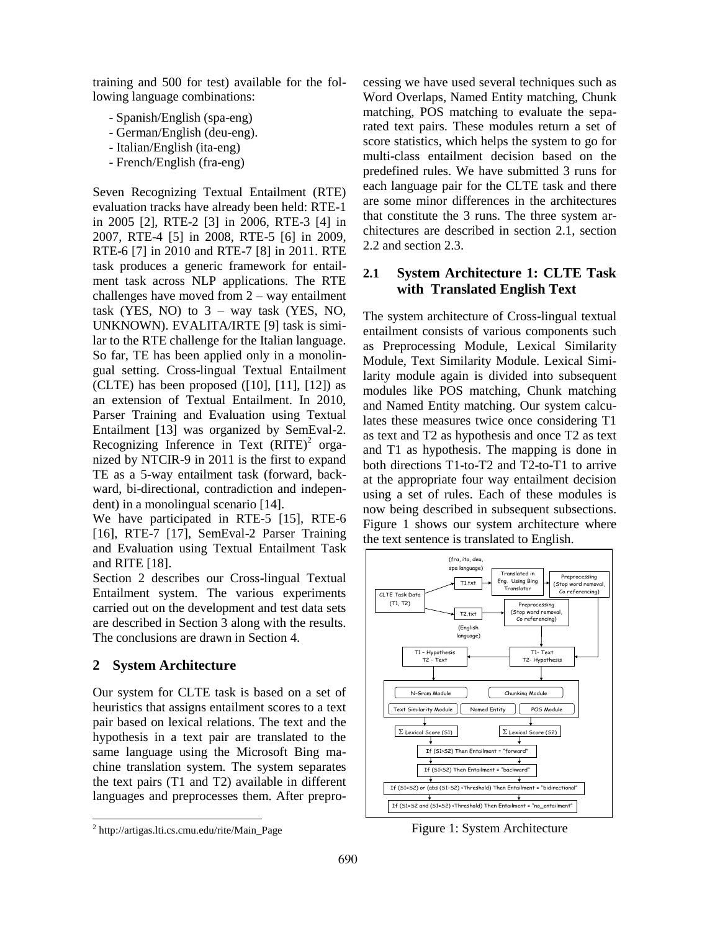training and 500 for test) available for the following language combinations:

- Spanish/English (spa-eng)
- German/English (deu-eng).
- Italian/English (ita-eng)
- French/English (fra-eng)

Seven Recognizing Textual Entailment (RTE) evaluation tracks have already been held: RTE-1 in 2005 [2], RTE-2 [3] in 2006, RTE-3 [4] in 2007, RTE-4 [5] in 2008, RTE-5 [6] in 2009, RTE-6 [7] in 2010 and RTE-7 [8] in 2011. RTE task produces a generic framework for entailment task across NLP applications. The RTE challenges have moved from 2 – way entailment task (YES, NO) to  $3 - way$  task (YES, NO, UNKNOWN). EVALITA/IRTE [9] task is similar to the RTE challenge for the Italian language. So far, TE has been applied only in a monolingual setting. Cross-lingual Textual Entailment (CLTE) has been proposed  $([10], [11], [12])$  as an extension of Textual Entailment. In 2010, Parser Training and Evaluation using Textual Entailment [13] was organized by SemEval-2. Recognizing Inference in Text  $(RITE)^2$  organized by NTCIR-9 in 2011 is the first to expand TE as a 5-way entailment task (forward, backward, bi-directional, contradiction and independent) in a monolingual scenario [14].

We have participated in RTE-5 [15], RTE-6 [16], RTE-7 [17], SemEval-2 Parser Training and Evaluation using Textual Entailment Task and RITE [18].

Section 2 describes our Cross-lingual Textual Entailment system. The various experiments carried out on the development and test data sets are described in Section 3 along with the results. The conclusions are drawn in Section 4.

### **2 System Architecture**

Our system for CLTE task is based on a set of heuristics that assigns entailment scores to a text pair based on lexical relations. The text and the hypothesis in a text pair are translated to the same language using the Microsoft Bing machine translation system. The system separates the text pairs (T1 and T2) available in different languages and preprocesses them. After prepro-

l

cessing we have used several techniques such as Word Overlaps, Named Entity matching, Chunk matching, POS matching to evaluate the separated text pairs. These modules return a set of score statistics, which helps the system to go for multi-class entailment decision based on the predefined rules. We have submitted 3 runs for each language pair for the CLTE task and there are some minor differences in the architectures that constitute the 3 runs. The three system architectures are described in section 2.1, section 2.2 and section 2.3.

## **2.1 System Architecture 1: CLTE Task with Translated English Text**

The system architecture of Cross-lingual textual entailment consists of various components such as Preprocessing Module, Lexical Similarity Module, Text Similarity Module. Lexical Similarity module again is divided into subsequent modules like POS matching, Chunk matching and Named Entity matching. Our system calculates these measures twice once considering T1 as text and T2 as hypothesis and once T2 as text and T1 as hypothesis. The mapping is done in both directions T1-to-T2 and T2-to-T1 to arrive at the appropriate four way entailment decision using a set of rules. Each of these modules is now being described in subsequent subsections. Figure 1 shows our system architecture where the text sentence is translated to English.



Figure 1: System Architecture

<sup>2</sup> http://artigas.lti.cs.cmu.edu/rite/Main\_Page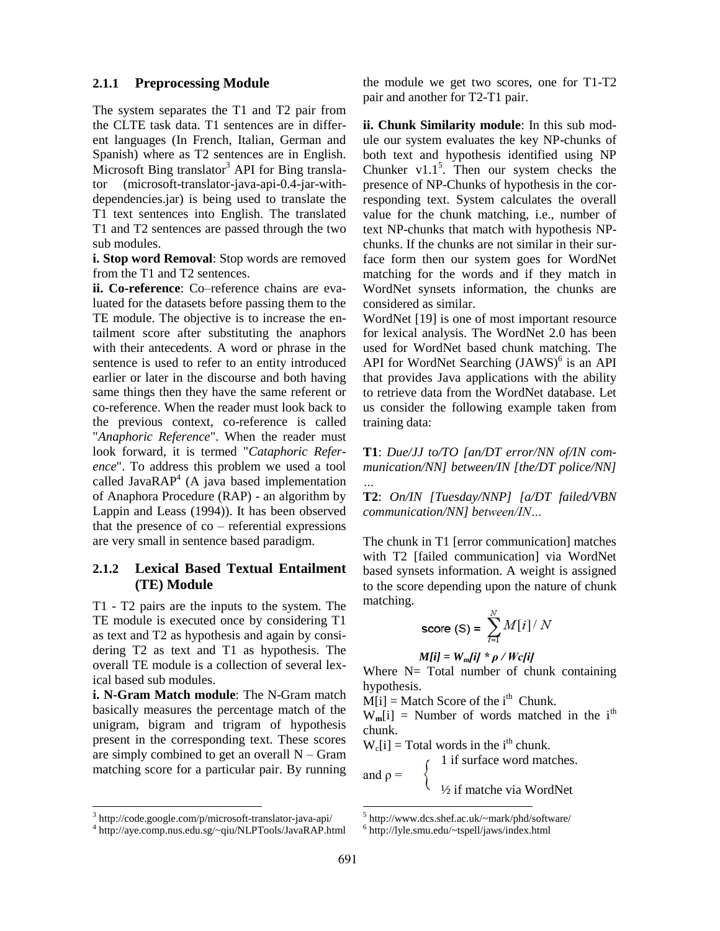#### **2.1.1 Preprocessing Module**

The system separates the T1 and T2 pair from the CLTE task data. T1 sentences are in different languages (In French, Italian, German and Spanish) where as T2 sentences are in English. Microsoft Bing translator<sup>3</sup> API for Bing translator (microsoft-translator-java-api-0.4-jar-withdependencies.jar) is being used to translate the T1 text sentences into English. The translated T1 and T2 sentences are passed through the two sub modules.

**i. Stop word Removal**: Stop words are removed from the T1 and T2 sentences.

**ii. Co-reference**: Co–reference chains are evaluated for the datasets before passing them to the TE module. The objective is to increase the entailment score after substituting the anaphors with their antecedents. A word or phrase in the sentence is used to refer to an entity introduced earlier or later in the discourse and both having same things then they have the same referent or co-reference. When the reader must look back to the previous context, co-reference is called "*Anaphoric Reference*". When the reader must look forward, it is termed "*Cataphoric Reference*". To address this problem we used a tool called Java $RAP^4$  (A java based implementation of Anaphora Procedure (RAP) - an algorithm by Lappin and Leass (1994)). It has been observed that the presence of  $\cos$  – referential expressions are very small in sentence based paradigm.

### **2.1.2 Lexical Based Textual Entailment (TE) Module**

T1 - T2 pairs are the inputs to the system. The TE module is executed once by considering T1 as text and T2 as hypothesis and again by considering T2 as text and T1 as hypothesis. The overall TE module is a collection of several lexical based sub modules.

**i. N-Gram Match module**: The N-Gram match basically measures the percentage match of the unigram, bigram and trigram of hypothesis present in the corresponding text. These scores are simply combined to get an overall  $N - Gram$ matching score for a particular pair. By running

3 http://code.google.com/p/microsoft-translator-java-api/

l

the module we get two scores, one for T1-T2 pair and another for T2-T1 pair.

**ii. Chunk Similarity module**: In this sub module our system evaluates the key NP-chunks of both text and hypothesis identified using NP Chunker  $v1.1<sup>5</sup>$ . Then our system checks the presence of NP-Chunks of hypothesis in the corresponding text. System calculates the overall value for the chunk matching, i.e., number of text NP-chunks that match with hypothesis NPchunks. If the chunks are not similar in their surface form then our system goes for WordNet matching for the words and if they match in WordNet synsets information, the chunks are considered as similar.

WordNet [19] is one of most important resource for lexical analysis. The WordNet 2.0 has been used for WordNet based chunk matching. The API for WordNet Searching (JAWS)<sup>6</sup> is an API that provides Java applications with the ability to retrieve data from the WordNet database. Let us consider the following example taken from training data:

**T1**: *Due/JJ to/TO [an/DT error/NN of/IN communication/NN] between/IN [the/DT police/NN]* 

**T2**: *On/IN [Tuesday/NNP] [a/DT failed/VBN communication/NN] between/IN…*

The chunk in T1 [error communication] matches with T2 [failed communication] via WordNet based synsets information. A weight is assigned to the score depending upon the nature of chunk matching.

score (S) = 
$$
\sum_{i=1}^{N} M[i] / N
$$

$$
M[i] = W_m[i] * \rho / Wc[i]
$$

Where  $N=$  Total number of chunk containing hypothesis.

 $\widetilde{M[i]}$  = Match Score of the i<sup>th</sup> Chunk.

 $W_m[i]$  = Number of words matched in the i<sup>th</sup> chunk.

 $W_c[i]$  = Total words in the i<sup>th</sup> chunk.

 1 if surface word matches. and  $\rho =$ ½ if matche via WordNet

l

*…*

<sup>4</sup> http://aye.comp.nus.edu.sg/~qiu/NLPTools/JavaRAP.html

<sup>5</sup> http://www.dcs.shef.ac.uk/~mark/phd/software/

<sup>6</sup> http://lyle.smu.edu/~tspell/jaws/index.html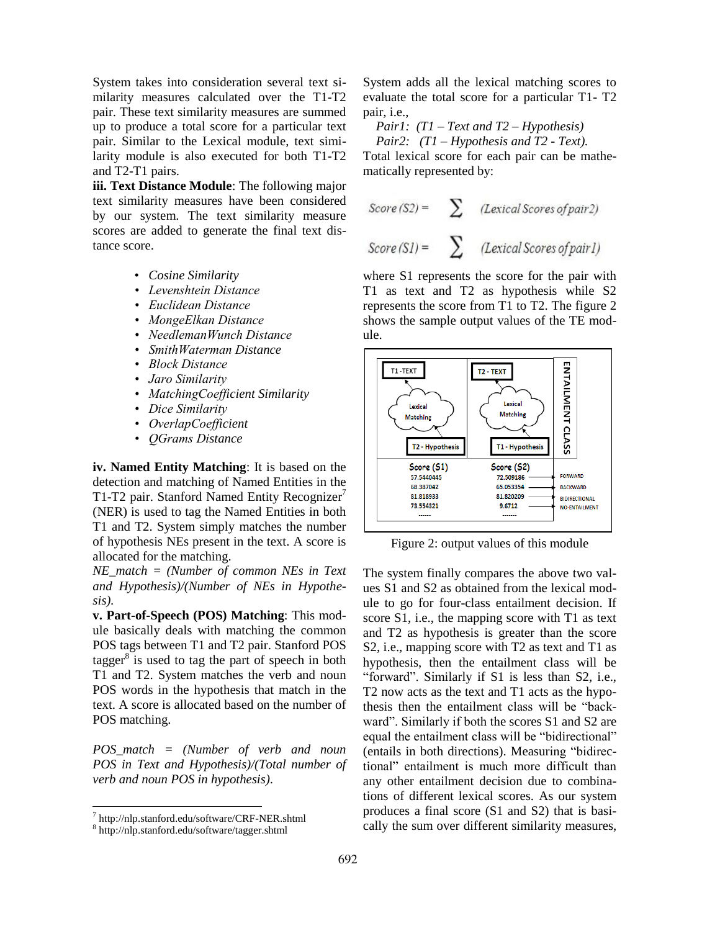System takes into consideration several text similarity measures calculated over the T1-T2 pair. These text similarity measures are summed up to produce a total score for a particular text pair. Similar to the Lexical module, text similarity module is also executed for both T1-T2 and T2-T1 pairs.

**iii. Text Distance Module**: The following major text similarity measures have been considered by our system. The text similarity measure scores are added to generate the final text distance score.

- *Cosine Similarity*
- *Levenshtein Distance*
- *Euclidean Distance*
- *MongeElkan Distance*
- *NeedlemanWunch Distance*
- *SmithWaterman Distance*
- *Block Distance*
- *Jaro Similarity*
- *MatchingCoefficient Similarity*
- *Dice Similarity*
- *OverlapCoefficient*
- *QGrams Distance*

**iv. Named Entity Matching**: It is based on the detection and matching of Named Entities in the T1-T2 pair. Stanford Named Entity Recognizer<sup>7</sup> (NER) is used to tag the Named Entities in both T1 and T2. System simply matches the number of hypothesis NEs present in the text. A score is allocated for the matching.

*NE\_match = (Number of common NEs in Text and Hypothesis)/(Number of NEs in Hypothesis).*

**v. Part-of-Speech (POS) Matching**: This module basically deals with matching the common POS tags between T1 and T2 pair. Stanford POS tagger $^8$  is used to tag the part of speech in both T1 and T2. System matches the verb and noun POS words in the hypothesis that match in the text. A score is allocated based on the number of POS matching.

*POS\_match = (Number of verb and noun POS in Text and Hypothesis)/(Total number of verb and noun POS in hypothesis)*.

l

System adds all the lexical matching scores to evaluate the total score for a particular T1- T2 pair, i.e.,

*Pair1: (T1 – Text and T2 – Hypothesis)*

 *Pair2: (T1 – Hypothesis and T2 - Text).*

Total lexical score for each pair can be mathematically represented by:

$$
Score(S2) = \sum (Lexical scores of pair 2)
$$
  

$$
Score(S1) = \sum (Lexical scores of pair 1)
$$

where S1 represents the score for the pair with T1 as text and T2 as hypothesis while S2 represents the score from T1 to T2. The figure 2 shows the sample output values of the TE module.



Figure 2: output values of this module

The system finally compares the above two values S1 and S2 as obtained from the lexical module to go for four-class entailment decision. If score S1, i.e., the mapping score with T1 as text and T2 as hypothesis is greater than the score S2, i.e., mapping score with T2 as text and T1 as hypothesis, then the entailment class will be "forward". Similarly if S1 is less than S2, i.e., T2 now acts as the text and T1 acts as the hypothesis then the entailment class will be "backward". Similarly if both the scores S1 and S2 are equal the entailment class will be "bidirectional" (entails in both directions). Measuring "bidirectional" entailment is much more difficult than any other entailment decision due to combinations of different lexical scores. As our system produces a final score (S1 and S2) that is basically the sum over different similarity measures,

<sup>7</sup> http://nlp.stanford.edu/software/CRF-NER.shtml

<sup>8</sup> http://nlp.stanford.edu/software/tagger.shtml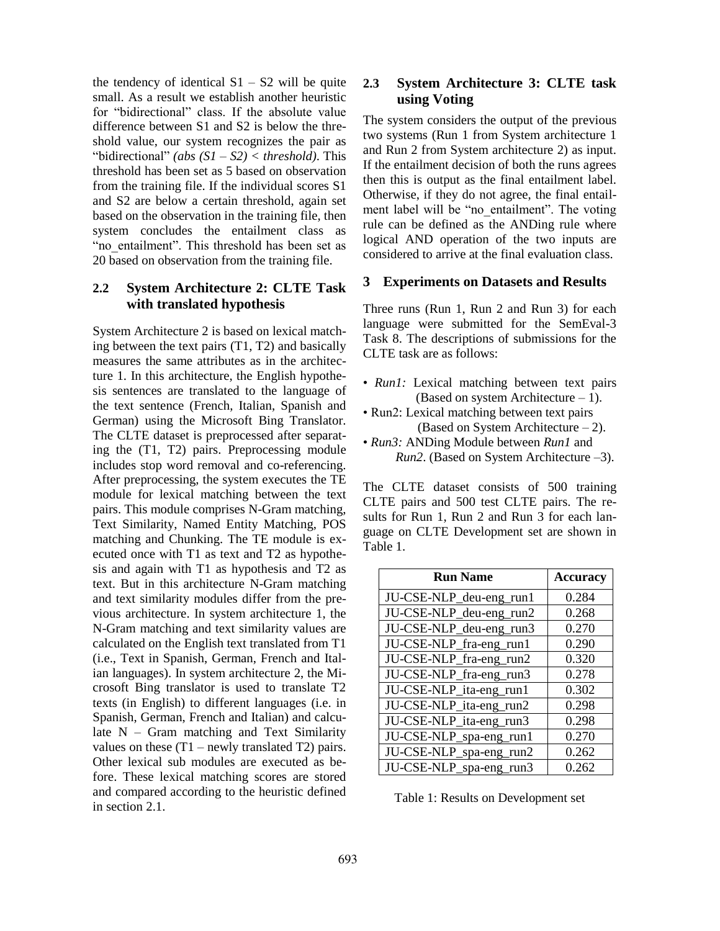the tendency of identical  $S1 - S2$  will be quite small. As a result we establish another heuristic for "bidirectional" class. If the absolute value difference between S1 and S2 is below the threshold value, our system recognizes the pair as "bidirectional" *(abs (S1 – S2) < threshold)*. This threshold has been set as 5 based on observation from the training file. If the individual scores S1 and S2 are below a certain threshold, again set based on the observation in the training file, then system concludes the entailment class as "no entailment". This threshold has been set as 20 based on observation from the training file.

### **2.2 System Architecture 2: CLTE Task with translated hypothesis**

System Architecture 2 is based on lexical matching between the text pairs (T1, T2) and basically measures the same attributes as in the architecture 1. In this architecture, the English hypothesis sentences are translated to the language of the text sentence (French, Italian, Spanish and German) using the Microsoft Bing Translator. The CLTE dataset is preprocessed after separating the (T1, T2) pairs. Preprocessing module includes stop word removal and co-referencing. After preprocessing, the system executes the TE module for lexical matching between the text pairs. This module comprises N-Gram matching, Text Similarity, Named Entity Matching, POS matching and Chunking. The TE module is executed once with T1 as text and T2 as hypothesis and again with T1 as hypothesis and T2 as text. But in this architecture N-Gram matching and text similarity modules differ from the previous architecture. In system architecture 1, the N-Gram matching and text similarity values are calculated on the English text translated from T1 (i.e., Text in Spanish, German, French and Italian languages). In system architecture 2, the Microsoft Bing translator is used to translate T2 texts (in English) to different languages (i.e. in Spanish, German, French and Italian) and calculate N – Gram matching and Text Similarity values on these  $(T1 - newly translated T2)$  pairs. Other lexical sub modules are executed as before. These lexical matching scores are stored and compared according to the heuristic defined in section 2.1.

## **2.3 System Architecture 3: CLTE task using Voting**

The system considers the output of the previous two systems (Run 1 from System architecture 1 and Run 2 from System architecture 2) as input. If the entailment decision of both the runs agrees then this is output as the final entailment label. Otherwise, if they do not agree, the final entailment label will be "no\_entailment". The voting rule can be defined as the ANDing rule where logical AND operation of the two inputs are considered to arrive at the final evaluation class.

#### **3 Experiments on Datasets and Results**

Three runs (Run 1, Run 2 and Run 3) for each language were submitted for the SemEval-3 Task 8. The descriptions of submissions for the CLTE task are as follows:

- *Run1*: Lexical matching between text pairs (Based on system Architecture – 1).
- Run2: Lexical matching between text pairs (Based on System Architecture – 2).
- *Run3:* ANDing Module between *Run1* and *Run2*. (Based on System Architecture –3).

The CLTE dataset consists of 500 training CLTE pairs and 500 test CLTE pairs. The results for Run 1, Run 2 and Run 3 for each language on CLTE Development set are shown in Table 1.

| <b>Run Name</b>         | <b>Accuracy</b> |
|-------------------------|-----------------|
| JU-CSE-NLP_deu-eng_run1 | 0.284           |
| JU-CSE-NLP_deu-eng_run2 | 0.268           |
| JU-CSE-NLP_deu-eng_run3 | 0.270           |
| JU-CSE-NLP_fra-eng_run1 | 0.290           |
| JU-CSE-NLP_fra-eng_run2 | 0.320           |
| JU-CSE-NLP_fra-eng_run3 | 0.278           |
| JU-CSE-NLP_ita-eng_run1 | 0.302           |
| JU-CSE-NLP_ita-eng_run2 | 0.298           |
| JU-CSE-NLP_ita-eng_run3 | 0.298           |
| JU-CSE-NLP_spa-eng_run1 | 0.270           |
| JU-CSE-NLP_spa-eng_run2 | 0.262           |
| JU-CSE-NLP_spa-eng_run3 | 0.262           |

Table 1: Results on Development set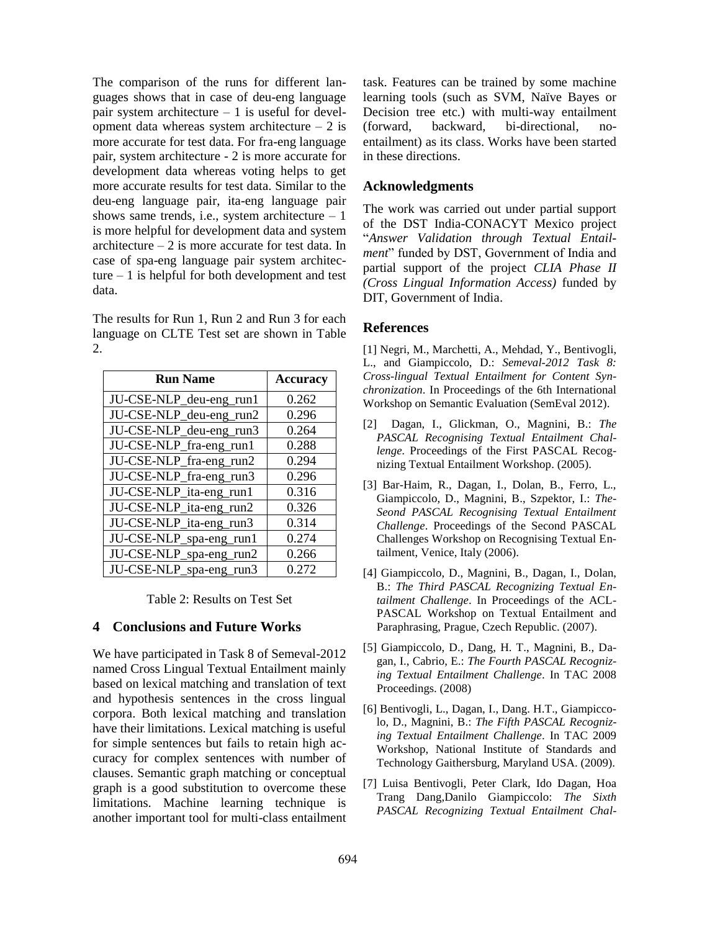The comparison of the runs for different languages shows that in case of deu-eng language pair system architecture – 1 is useful for development data whereas system architecture  $-2$  is more accurate for test data. For fra-eng language pair, system architecture - 2 is more accurate for development data whereas voting helps to get more accurate results for test data. Similar to the deu-eng language pair, ita-eng language pair shows same trends, i.e., system architecture  $-1$ is more helpful for development data and system architecture  $-2$  is more accurate for test data. In case of spa-eng language pair system architecture  $-1$  is helpful for both development and test data.

The results for Run 1, Run 2 and Run 3 for each language on CLTE Test set are shown in Table 2.

| <b>Run Name</b>         | <b>Accuracy</b> |
|-------------------------|-----------------|
| JU-CSE-NLP_deu-eng_run1 | 0.262           |
| JU-CSE-NLP_deu-eng_run2 | 0.296           |
| JU-CSE-NLP_deu-eng_run3 | 0.264           |
| JU-CSE-NLP_fra-eng_run1 | 0.288           |
| JU-CSE-NLP_fra-eng_run2 | 0.294           |
| JU-CSE-NLP_fra-eng_run3 | 0.296           |
| JU-CSE-NLP_ita-eng_run1 | 0.316           |
| JU-CSE-NLP_ita-eng_run2 | 0.326           |
| JU-CSE-NLP_ita-eng_run3 | 0.314           |
| JU-CSE-NLP_spa-eng_run1 | 0.274           |
| JU-CSE-NLP_spa-eng_run2 | 0.266           |
| JU-CSE-NLP_spa-eng_run3 | 0.272           |

Table 2: Results on Test Set

#### **4 Conclusions and Future Works**

We have participated in Task 8 of Semeval-2012 named Cross Lingual Textual Entailment mainly based on lexical matching and translation of text and hypothesis sentences in the cross lingual corpora. Both lexical matching and translation have their limitations. Lexical matching is useful for simple sentences but fails to retain high accuracy for complex sentences with number of clauses. Semantic graph matching or conceptual graph is a good substitution to overcome these limitations. Machine learning technique is another important tool for multi-class entailment task. Features can be trained by some machine learning tools (such as SVM, Naïve Bayes or Decision tree etc.) with multi-way entailment (forward, backward, bi-directional, noentailment) as its class. Works have been started in these directions.

### **Acknowledgments**

The work was carried out under partial support of the DST India-CONACYT Mexico project "*Answer Validation through Textual Entailment*" funded by DST, Government of India and partial support of the project *CLIA Phase II (Cross Lingual Information Access)* funded by DIT, Government of India.

#### **References**

[1] Negri, M., Marchetti, A., Mehdad, Y., Bentivogli, L., and Giampiccolo, D.: *Semeval-2012 Task 8: Cross-lingual Textual Entailment for Content Synchronization*. In Proceedings of the 6th International Workshop on Semantic Evaluation (SemEval 2012).

- [2] Dagan, I., Glickman, O., Magnini, B.: *The PASCAL Recognising Textual Entailment Challenge.* Proceedings of the First PASCAL Recognizing Textual Entailment Workshop. (2005).
- [3] Bar-Haim, R., Dagan, I., Dolan, B., Ferro, L., Giampiccolo, D., Magnini, B., Szpektor, I.: *The-Seond PASCAL Recognising Textual Entailment Challenge*. Proceedings of the Second PASCAL Challenges Workshop on Recognising Textual Entailment, Venice, Italy (2006).
- [4] Giampiccolo, D., Magnini, B., Dagan, I., Dolan, B.: *The Third PASCAL Recognizing Textual Entailment Challenge*. In Proceedings of the ACL-PASCAL Workshop on Textual Entailment and Paraphrasing, Prague, Czech Republic. (2007).
- [5] Giampiccolo, D., Dang, H. T., Magnini, B., Dagan, I., Cabrio, E.: *The Fourth PASCAL Recognizing Textual Entailment Challenge*. In TAC 2008 Proceedings. (2008)
- [6] Bentivogli, L., Dagan, I., Dang. H.T., Giampiccolo, D., Magnini, B.: *The Fifth PASCAL Recognizing Textual Entailment Challenge*. In TAC 2009 Workshop, National Institute of Standards and Technology Gaithersburg, Maryland USA. (2009).
- [7] Luisa Bentivogli, Peter Clark, Ido Dagan, Hoa Trang Dang,Danilo Giampiccolo: *The Sixth PASCAL Recognizing Textual Entailment Chal-*